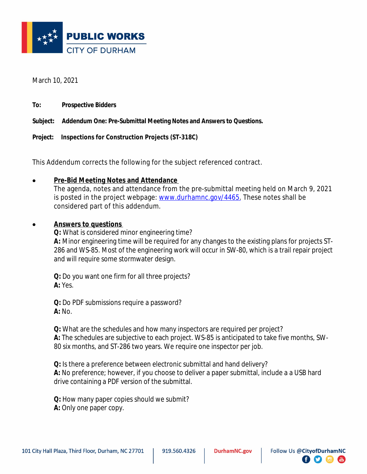

March 10, 2021

**To: Prospective Bidders**

**Subject: Addendum One: Pre-Submittal Meeting Notes and Answers to Questions.**

**Project: Inspections for Construction Projects (ST-318C)**

This Addendum corrects the following for the subject referenced contract.

## **Pre-Bid Meeting Notes and Attendance**

The agenda, notes and attendance from the pre-submittal meeting held on March 9, 2021 is posted in the project webpage: [www.durhamnc.gov/4465.](http://www.durhamnc.gov/4465) These notes shall be considered part of this addendum.

## **Answers to questions**

**Q:** What is considered minor engineering time? **A:** Minor engineering time will be required for any changes to the existing plans for projects ST-286 and WS-85. Most of the engineering work will occur in SW-80, which is a trail repair project and will require some stormwater design.

**Q:** Do you want one firm for all three projects? **A:** Yes.

**Q:** Do PDF submissions require a password? **A:** No.

**Q:** What are the schedules and how many inspectors are required per project? **A:** The schedules are subjective to each project. WS-85 is anticipated to take five months, SW-80 six months, and ST-286 two years. We require one inspector per job.

**Q:** Is there a preference between electronic submittal and hand delivery? **A:** No preference; however, if you choose to deliver a paper submittal, include a a USB hard drive containing a PDF version of the submittal.

**Q:** How many paper copies should we submit? **A:** Only one paper copy.

**什 9 0 8**